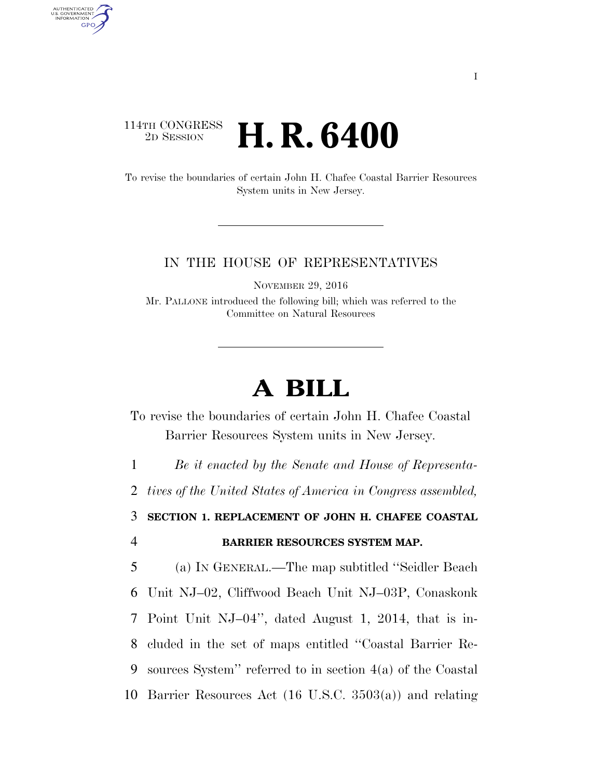## 114TH CONGRESS <sup>2D SESSION</sup> **H. R. 6400**

AUTHENTICATED U.S. GOVERNMENT **GPO** 

> To revise the boundaries of certain John H. Chafee Coastal Barrier Resources System units in New Jersey.

## IN THE HOUSE OF REPRESENTATIVES

NOVEMBER 29, 2016

Mr. PALLONE introduced the following bill; which was referred to the Committee on Natural Resources

## **A BILL**

To revise the boundaries of certain John H. Chafee Coastal Barrier Resources System units in New Jersey.

1 *Be it enacted by the Senate and House of Representa-*

2 *tives of the United States of America in Congress assembled,* 

3 **SECTION 1. REPLACEMENT OF JOHN H. CHAFEE COASTAL**  4 **BARRIER RESOURCES SYSTEM MAP.** 

 (a) IN GENERAL.—The map subtitled ''Seidler Beach Unit NJ–02, Cliffwood Beach Unit NJ–03P, Conaskonk Point Unit NJ–04'', dated August 1, 2014, that is in- cluded in the set of maps entitled ''Coastal Barrier Re- sources System'' referred to in section 4(a) of the Coastal Barrier Resources Act (16 U.S.C. 3503(a)) and relating